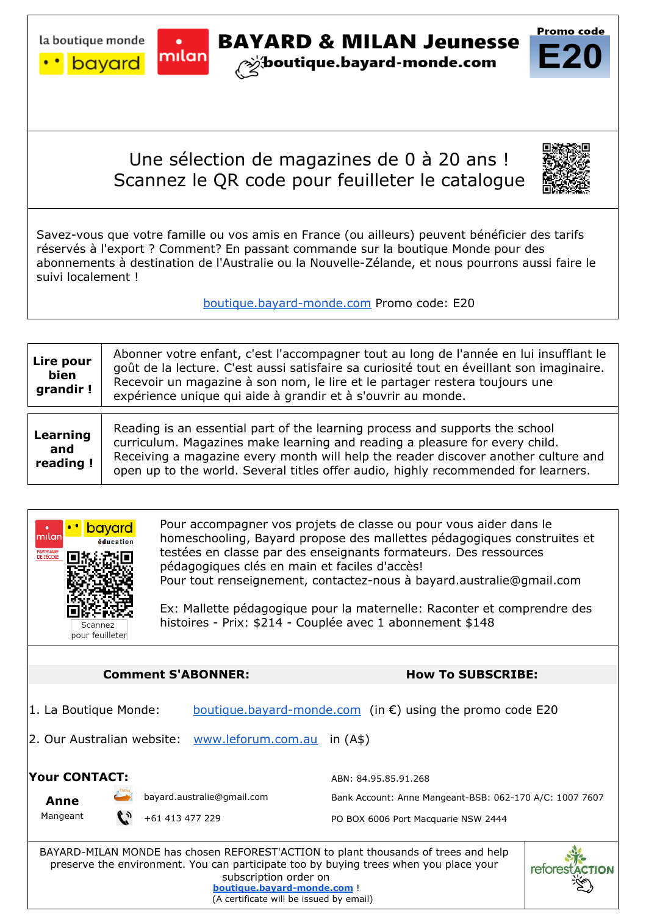

La boutique monde **Company BAYARD & MILAN Jeunesse** 

## Une sélection de magazines de 0 à 20 ans ! Scannez le QR code pour feuilleter le catalogue



Promo code

Savez-vous que votre famille ou vos amis en France (ou ailleurs) peuvent bénéficier des tarifs réservés à l'export ? Comment? En passant commande sur la boutique Monde pour des abonnements à destination de l'Australie ou la Nouvelle-Zélande, et nous pourrons aussi faire le suivi localement !

boutique.bayard-monde.com Promo code: E20

| Lire pour<br>bien<br>grandir! | Abonner votre enfant, c'est l'accompagner tout au long de l'année en lui insufflant le<br>goût de la lecture. C'est aussi satisfaire sa curiosité tout en éveillant son imaginaire.<br>Recevoir un magazine à son nom, le lire et le partager restera toujours une<br>expérience unique qui aide à grandir et à s'ouvrir au monde.      |
|-------------------------------|-----------------------------------------------------------------------------------------------------------------------------------------------------------------------------------------------------------------------------------------------------------------------------------------------------------------------------------------|
| Learning<br>and<br>reading!   | Reading is an essential part of the learning process and supports the school<br>curriculum. Magazines make learning and reading a pleasure for every child.<br>Receiving a magazine every month will help the reader discover another culture and<br>open up to the world. Several titles offer audio, highly recommended for learners. |



BAYARD-MILAN MONDE has chosen REFOREST'ACTION to plant thousands of trees and help preserve the environment. You can participate too by buying trees when you place your subscription order on **www.boutique.bayard-monde.com** ! (A certificate will be issued by email)